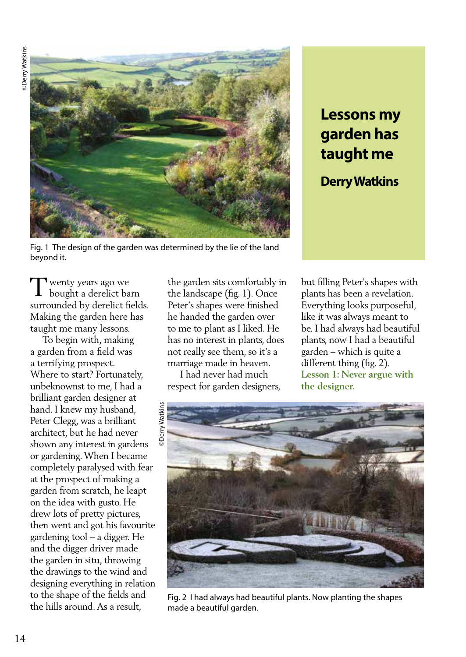**ODerry Watkins** ©Derry Watkins



Fig. 1 The design of the garden was determined by the lie of the land beyond it.

## **Lessons my garden has taught me**

**Derry Watkins**

wenty years ago we Twenty years ago we<br>bought a derelict barn surrounded by derelict fields. Making the garden here has taught me many lessons.

 To begin with, making a garden from a field was a terrifying prospect. Where to start? Fortunately, unbeknownst to me, I had a brilliant garden designer at hand. I knew my husband, Peter Clegg, was a brilliant architect, but he had never shown any interest in gardens or gardening. When I became completely paralysed with fear at the prospect of making a garden from scratch, he leapt on the idea with gusto. He drew lots of pretty pictures, then went and got his favourite gardening tool – a digger. He and the digger driver made the garden in situ, throwing the drawings to the wind and designing everything in relation to the shape of the fields and the hills around. As a result,

the garden sits comfortably in the landscape (fig. 1). Once Peter's shapes were finished he handed the garden over to me to plant as I liked. He has no interest in plants, does not really see them, so it's a marriage made in heaven.

 I had never had much respect for garden designers, but filling Peter's shapes with plants has been a revelation. Everything looks purposeful, like it was always meant to be. I had always had beautiful plants, now I had a beautiful garden – which is quite a different thing (fig. 2). **Lesson 1: Never argue with the designer.**



Fig. 2 I had always had beautiful plants. Now planting the shapes made a beautiful garden.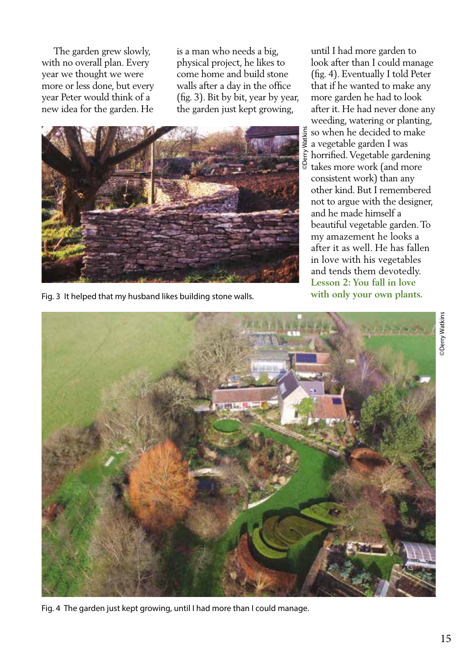The garden grew slowly, with no overall plan. Every year we thought we were more or less done, but every year Peter would think of a new idea for the garden. He is a man who needs a big, physical project, he likes to come home and build stone walls after a day in the office (fig. 3). Bit by bit, year by year, the garden just kept growing,



Fig. 3 It helped that my husband likes building stone walls.

until I had more garden to look after than I could manage (fig. 4). Eventually I told Peter that if he wanted to make any more garden he had to look after it. He had never done any weeding, watering or planting, so when he decided to make a vegetable garden I was horrified. Vegetable gardening takes more work (and more consistent work) than any other kind. But I remembered not to argue with the designer, and he made himself a beautiful vegetable garden. To my amazement he looks a after it as well. He has fallen in love with his vegetables and tends them devotedly. **Lesson 2: You fall in love with only your own plants.**



Fig. 4 The garden just kept growing, until I had more than I could manage.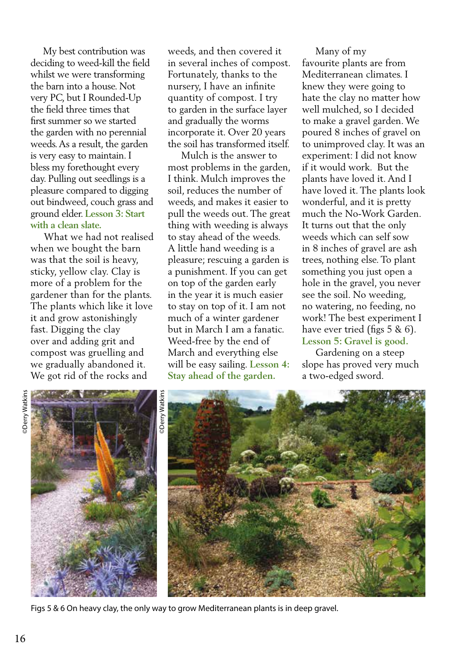My best contribution was deciding to weed-kill the field whilst we were transforming the barn into a house. Not very PC, but I Rounded-Up the field three times that first summer so we started the garden with no perennial weeds. As a result, the garden is very easy to maintain. I bless my forethought every day. Pulling out seedlings is a pleasure compared to digging out bindweed, couch grass and ground elder. **Lesson 3: Start with a clean slate.** 

 What we had not realised when we bought the barn was that the soil is heavy, sticky, yellow clay. Clay is more of a problem for the gardener than for the plants. The plants which like it love it and grow astonishingly fast. Digging the clay over and adding grit and compost was gruelling and we gradually abandoned it. We got rid of the rocks and

weeds, and then covered it in several inches of compost. Fortunately, thanks to the nursery, I have an infinite quantity of compost. I try to garden in the surface layer and gradually the worms incorporate it. Over 20 years the soil has transformed itself.

 Mulch is the answer to most problems in the garden, I think. Mulch improves the soil, reduces the number of weeds, and makes it easier to pull the weeds out. The great thing with weeding is always to stay ahead of the weeds. A little hand weeding is a pleasure; rescuing a garden is a punishment. If you can get on top of the garden early in the year it is much easier to stay on top of it. I am not much of a winter gardener but in March I am a fanatic. Weed-free by the end of March and everything else will be easy sailing. **Lesson 4: Stay ahead of the garden.**

 Many of my favourite plants are from Mediterranean climates. I knew they were going to hate the clay no matter how well mulched, so I decided to make a gravel garden. We poured 8 inches of gravel on to unimproved clay. It was an experiment: I did not know if it would work. But the plants have loved it. And I have loved it. The plants look wonderful, and it is pretty much the No-Work Garden. It turns out that the only weeds which can self sow in 8 inches of gravel are ash trees, nothing else. To plant something you just open a hole in the gravel, you never see the soil. No weeding, no watering, no feeding, no work! The best experiment I have ever tried (figs 5 & 6). **Lesson 5: Gravel is good.**

 Gardening on a steep slope has proved very much a two-edged sword.



Figs 5 & 6 On heavy clay, the only way to grow Mediterranean plants is in deep gravel.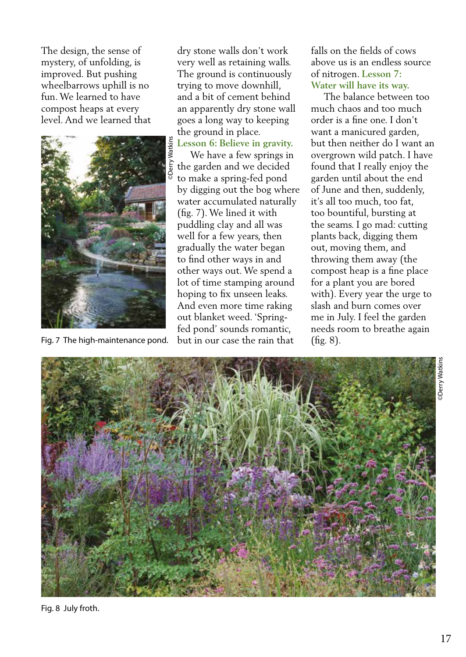The design, the sense of mystery, of unfolding, is improved. But pushing wheelbarrows uphill is no fun. We learned to have compost heaps at every level. And we learned that



Fig. 7 The high-maintenance pond.

dry stone walls don't work very well as retaining walls. The ground is continuously trying to move downhill, and a bit of cement behind an apparently dry stone wall goes a long way to keeping the ground in place.

## **Lesson 6: Believe in gravity.**

 We have a few springs in the garden and we decided to make a spring-fed pond by digging out the bog where water accumulated naturally (fig. 7). We lined it with puddling clay and all was well for a few years, then gradually the water began to find other ways in and other ways out. We spend a lot of time stamping around hoping to fix unseen leaks. And even more time raking out blanket weed. 'Springfed pond' sounds romantic, but in our case the rain that

falls on the fields of cows above us is an endless source of nitrogen. **Lesson 7: Water will have its way.** 

 The balance between too much chaos and too much order is a fine one. I don't want a manicured garden, but then neither do I want an overgrown wild patch. I have found that I really enjoy the garden until about the end of June and then, suddenly, it's all too much, too fat, too bountiful, bursting at the seams. I go mad: cutting plants back, digging them out, moving them, and throwing them away (the compost heap is a fine place for a plant you are bored with). Every year the urge to slash and burn comes over me in July. I feel the garden needs room to breathe again (fig. 8).

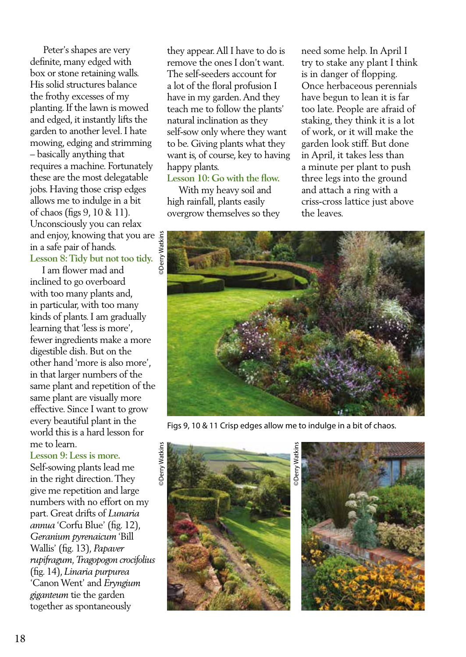Peter's shapes are very definite, many edged with box or stone retaining walls. His solid structures balance the frothy excesses of my planting. If the lawn is mowed and edged, it instantly lifts the garden to another level. I hate mowing, edging and strimming – basically anything that requires a machine. Fortunately these are the most delegatable jobs. Having those crisp edges allows me to indulge in a bit of chaos (figs 9, 10 & 11). Unconsciously you can relax and enjoy, knowing that you are in a safe pair of hands. **Lesson 8: Tidy but not too tidy.** 

 I am flower mad and inclined to go overboard with too many plants and, in particular, with too many kinds of plants. I am gradually learning that 'less is more', fewer ingredients make a more digestible dish. But on the other hand 'more is also more', in that larger numbers of the same plant and repetition of the same plant are visually more effective. Since I want to grow every beautiful plant in the world this is a hard lesson for me to learn.

**Lesson 9: Less is more.** Self-sowing plants lead me in the right direction. They give me repetition and large numbers with no effort on my part. Great drifts of *Lunaria annua* 'Corfu Blue' (fig. 12), *Geranium pyrenaicum* 'Bill Wallis' (fig. 13), *Papaver rupifragum, Tragopogon crocifolius*  (fig. 14), *Linaria purpurea*  'Canon Went' and *Eryngium giganteum* tie the garden together as spontaneously

they appear. All I have to do is remove the ones I don't want. The self-seeders account for a lot of the floral profusion I have in my garden. And they teach me to follow the plants' natural inclination as they self-sow only where they want to be. Giving plants what they want is, of course, key to having happy plants.

## **Lesson 10: Go with the flow.**

 With my heavy soil and high rainfall, plants easily overgrow themselves so they need some help. In April I try to stake any plant I think is in danger of flopping. Once herbaceous perennials have begun to lean it is far too late. People are afraid of staking, they think it is a lot of work, or it will make the garden look stiff. But done in April, it takes less than a minute per plant to push three legs into the ground and attach a ring with a criss-cross lattice just above the leaves.



Figs 9, 10 & 11 Crisp edges allow me to indulge in a bit of chaos.



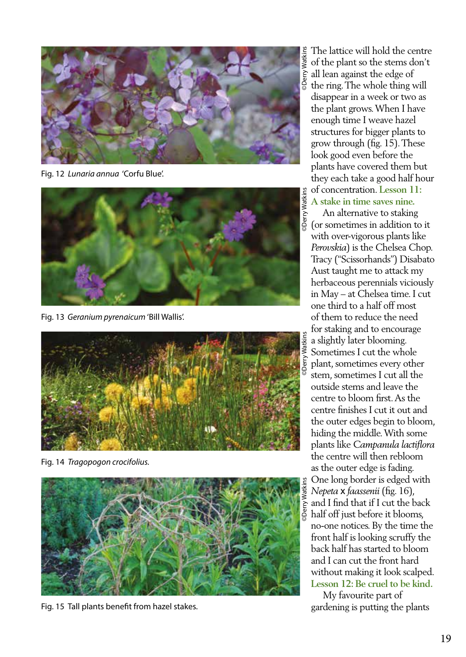

Fig. 12 *Lunaria annua* 'Corfu Blue'.



Fig. 13 *Geranium pyrenaicum* 'Bill Wallis'.



Fig. 14 *Tragopogon crocifolius.*



Fig. 15 Tall plants benefit from hazel stakes.

The lattice will hold the centre of the plant so the stems don't all lean against the edge of the ring. The whole thing will disappear in a week or two as the plant grows. When I have enough time I weave hazel structures for bigger plants to grow through (fig. 15). These look good even before the plants have covered them but they each take a good half hour of concentration. **Lesson 11: A stake in time saves nine.**

 An alternative to staking (or sometimes in addition to it with over-vigorous plants like *Perovskia*) is the Chelsea Chop. Tracy ("Scissorhands") Disabato Aust taught me to attack my herbaceous perennials viciously in May – at Chelsea time. I cut one third to a half off most of them to reduce the need for staking and to encourage a slightly later blooming. Sometimes I cut the whole plant, sometimes every other stem, sometimes I cut all the outside stems and leave the centre to bloom first. As the centre finishes I cut it out and the outer edges begin to bloom, hiding the middle. With some plants like *Campanula lactiflora*  the centre will then rebloom as the outer edge is fading. One long border is edged with *Nepeta* x *faassenii* (fig. 16), and I find that if I cut the back half off just before it blooms, no-one notices. By the time the front half is looking scruffy the back half has started to bloom and I can cut the front hard without making it look scalped. **Lesson 12: Be cruel to be kind.**

 My favourite part of gardening is putting the plants